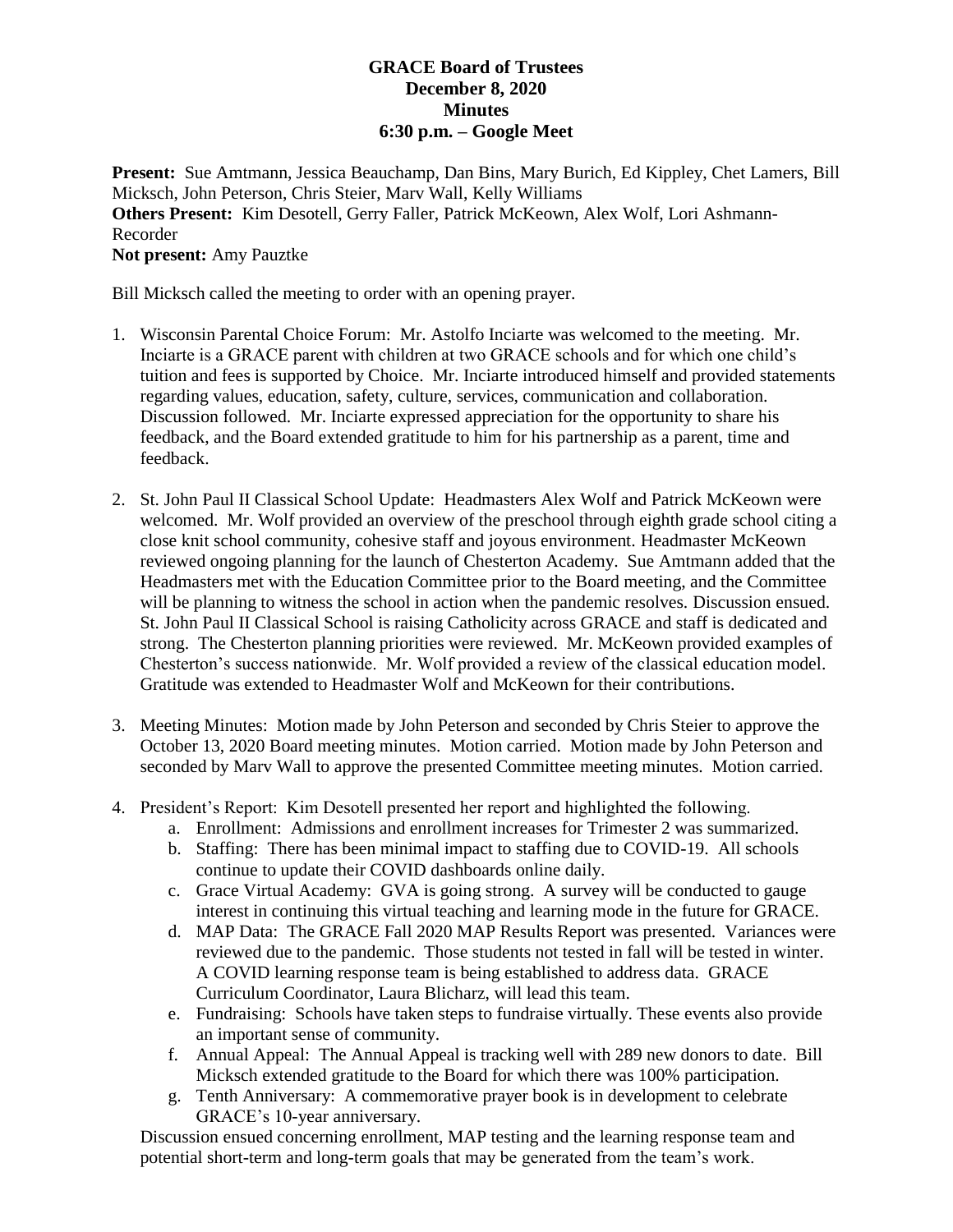## **GRACE Board of Trustees December 8, 2020 Minutes 6:30 p.m. – Google Meet**

**Present:** Sue Amtmann, Jessica Beauchamp, Dan Bins, Mary Burich, Ed Kippley, Chet Lamers, Bill Micksch, John Peterson, Chris Steier, Marv Wall, Kelly Williams **Others Present:** Kim Desotell, Gerry Faller, Patrick McKeown, Alex Wolf, Lori Ashmann-Recorder **Not present:** Amy Pauztke

Bill Micksch called the meeting to order with an opening prayer.

- 1. Wisconsin Parental Choice Forum: Mr. Astolfo Inciarte was welcomed to the meeting. Mr. Inciarte is a GRACE parent with children at two GRACE schools and for which one child's tuition and fees is supported by Choice. Mr. Inciarte introduced himself and provided statements regarding values, education, safety, culture, services, communication and collaboration. Discussion followed. Mr. Inciarte expressed appreciation for the opportunity to share his feedback, and the Board extended gratitude to him for his partnership as a parent, time and feedback.
- 2. St. John Paul II Classical School Update: Headmasters Alex Wolf and Patrick McKeown were welcomed. Mr. Wolf provided an overview of the preschool through eighth grade school citing a close knit school community, cohesive staff and joyous environment. Headmaster McKeown reviewed ongoing planning for the launch of Chesterton Academy. Sue Amtmann added that the Headmasters met with the Education Committee prior to the Board meeting, and the Committee will be planning to witness the school in action when the pandemic resolves. Discussion ensued. St. John Paul II Classical School is raising Catholicity across GRACE and staff is dedicated and strong. The Chesterton planning priorities were reviewed. Mr. McKeown provided examples of Chesterton's success nationwide. Mr. Wolf provided a review of the classical education model. Gratitude was extended to Headmaster Wolf and McKeown for their contributions.
- 3. Meeting Minutes: Motion made by John Peterson and seconded by Chris Steier to approve the October 13, 2020 Board meeting minutes. Motion carried. Motion made by John Peterson and seconded by Marv Wall to approve the presented Committee meeting minutes. Motion carried.
- 4. President's Report: Kim Desotell presented her report and highlighted the following.
	- a. Enrollment: Admissions and enrollment increases for Trimester 2 was summarized.
	- b. Staffing: There has been minimal impact to staffing due to COVID-19. All schools continue to update their COVID dashboards online daily.
	- c. Grace Virtual Academy: GVA is going strong. A survey will be conducted to gauge interest in continuing this virtual teaching and learning mode in the future for GRACE.
	- d. MAP Data: The GRACE Fall 2020 MAP Results Report was presented. Variances were reviewed due to the pandemic. Those students not tested in fall will be tested in winter. A COVID learning response team is being established to address data. GRACE Curriculum Coordinator, Laura Blicharz, will lead this team.
	- e. Fundraising: Schools have taken steps to fundraise virtually. These events also provide an important sense of community.
	- f. Annual Appeal: The Annual Appeal is tracking well with 289 new donors to date. Bill Micksch extended gratitude to the Board for which there was 100% participation.
	- g. Tenth Anniversary: A commemorative prayer book is in development to celebrate GRACE's 10-year anniversary.

Discussion ensued concerning enrollment, MAP testing and the learning response team and potential short-term and long-term goals that may be generated from the team's work.